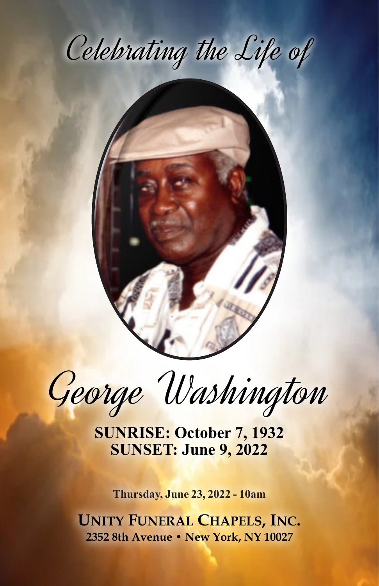



George Washington

**SUNRISE: October 7, 1932 SUNSET: June 9, 2022**

**Thursday, June 23, 2022 - 10am**

**UNITY FUNERAL CHAPELS, INC. 2352 8th Avenue • New York, NY 10027**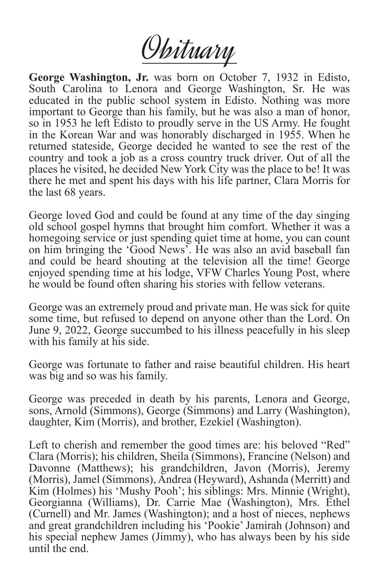Obituary

**George Washington, Jr.** was born on October 7, 1932 in Edisto, South Carolina to Lenora and George Washington, Sr. He was educated in the public school system in Edisto. Nothing was more important to George than his family, but he was also a man of honor, so in 1953 he left Edisto to proudly serve in the US Army. He fought in the Korean War and was honorably discharged in 1955. When he returned stateside, George decided he wanted to see the rest of the country and took a job as a cross country truck driver. Out of all the places he visited, he decided New York City was the place to be! It was there he met and spent his days with his life partner, Clara Morris for the last 68 years.

George loved God and could be found at any time of the day singing old school gospel hymns that brought him comfort. Whether it was a homegoing service or just spending quiet time at home, you can count on him bringing the 'Good News'. He was also an avid baseball fan and could be heard shouting at the television all the time! George enjoyed spending time at his lodge, VFW Charles Young Post, where he would be found often sharing his stories with fellow veterans.

George was an extremely proud and private man. He was sick for quite some time, but refused to depend on anyone other than the Lord. On June 9, 2022, George succumbed to his illness peacefully in his sleep with his family at his side.

George was fortunate to father and raise beautiful children. His heart was big and so was his family.

George was preceded in death by his parents, Lenora and George, sons, Arnold (Simmons), George (Simmons) and Larry (Washington), daughter, Kim (Morris), and brother, Ezekiel (Washington).

Left to cherish and remember the good times are: his beloved "Red" Clara (Morris); his children, Sheila (Simmons), Francine (Nelson) and Davonne (Matthews); his grandchildren, Javon (Morris), Jeremy (Morris), Jamel (Simmons), Andrea (Heyward), Ashanda (Merritt) and Kim (Holmes) his 'Mushy Pooh'; his siblings: Mrs. Minnie (Wright), Georgianna (Williams), Dr. Carrie Mae (Washington), Mrs. Ethel (Curnell) and Mr. James (Washington); and a host of nieces, nephews and great grandchildren including his 'Pookie' Jamirah (Johnson) and his special nephew James (Jimmy), who has always been by his side until the end.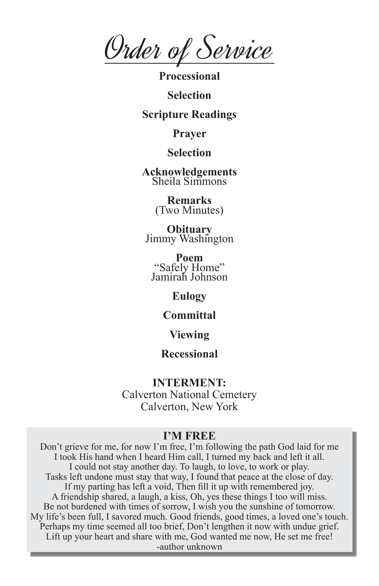Order of Service

**Processional**

**Selection**

### **Scripture Readings**

**Prayer**

# **Selection**

**Acknowledgements** Sheila Simmons

> **Remarks** (Two Minutes)

**Obituary** Jimmy Washington

**Poem** "Safely Home" Jamirah Johnson

## **Eulogy**

### **Committal**

### **Viewing**

## **Recessional**

#### **INTERMENT:**

Calverton National Cemetery Calverton, New York

#### **I'M FREE**

Don't grieve for me, for now I'm free, I'm following the path God laid for me I took His hand when I heard Him call, I turned my back and left it all. I could not stay another day. To laugh, to love, to work or play. Tasks left undone must stay that way, I found that peace at the close of day. If my parting has left a void, Then fill it up with remembered joy. A friendship shared, a laugh, a kiss, Oh, yes these things I too will miss. Be not burdened with times of sorrow, I wish you the sunshine of tomorrow. My life's been full, I savored much. Good friends, good times, a loved one's touch. Perhaps my time seemed all too brief, Don't lengthen it now with undue grief. Lift up your heart and share with me, God wanted me now, He set me free! -author unknown